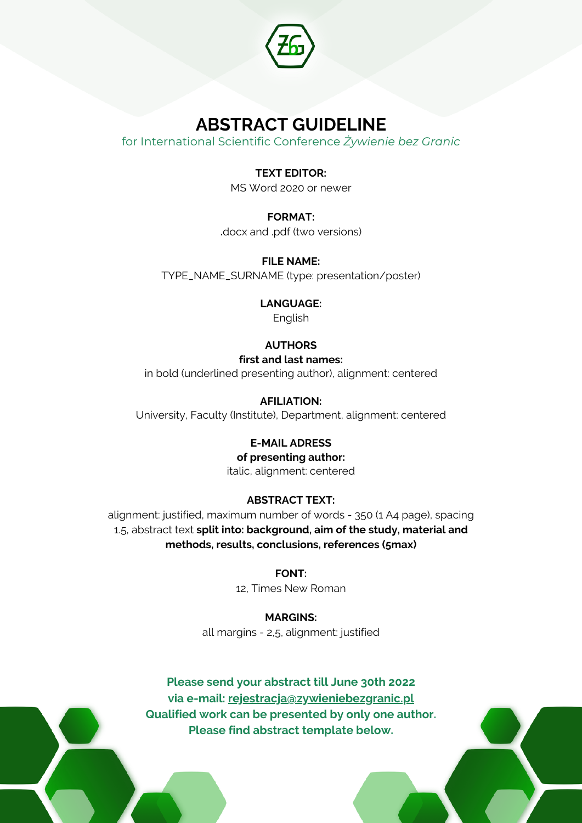

# **ABSTRACT GUIDELINE**

for International Scientific Conference *Żywienie bez Granic*

## **TEXT EDITOR:**

MS Word 2020 or newer

# **FORMAT:**

**.**docx and .pdf (two versions)

**FILE NAME:**

TYPE\_NAME\_SURNAME (type: presentation/poster)

#### **LANGUAGE:**

English

# **AUTHORS**

#### **first and last names:**

in bold (underlined presenting author), alignment: centered

### **AFILIATION:**

University, Faculty (Institute), Department, alignment: centered

### **E-MAIL ADRESS**

#### **of presenting author:**

italic, alignment: centered

# **ABSTRACT TEXT:**

alignment: justified, maximum number of words - 350 (1 A4 page), spacing 1.5, abstract text **split into: background, aim of the study, material and methods, results, conclusions, references (5max)**

### **FONT:**

12, Times New Roman

**MARGINS:** all margins - 2,5, alignment: justified

# **Please send your abstract till June 30th 2022 via e-mail: rejestracja@zywieniebezgranic.pl Qualified work can be presented by only one author. Please find abstract template below.**